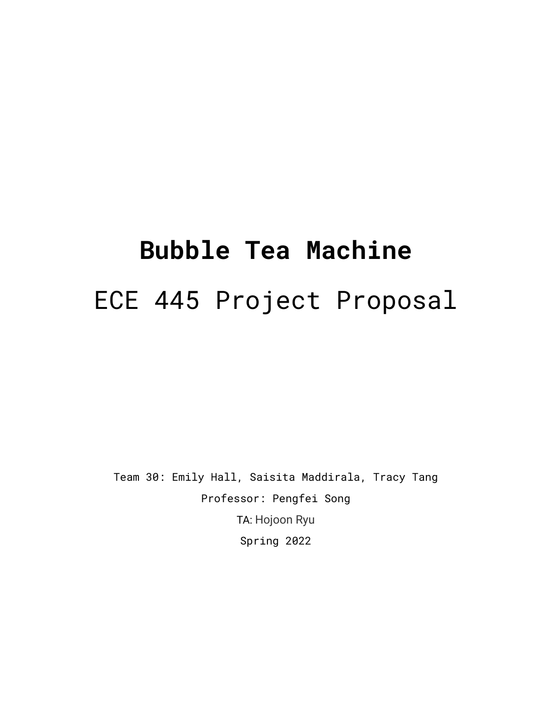# **Bubble Tea Machine** ECE 445 Project Proposal

Team 30: Emily Hall, Saisita Maddirala, Tracy Tang Professor: Pengfei Song TA: Hojoon Ryu Spring 2022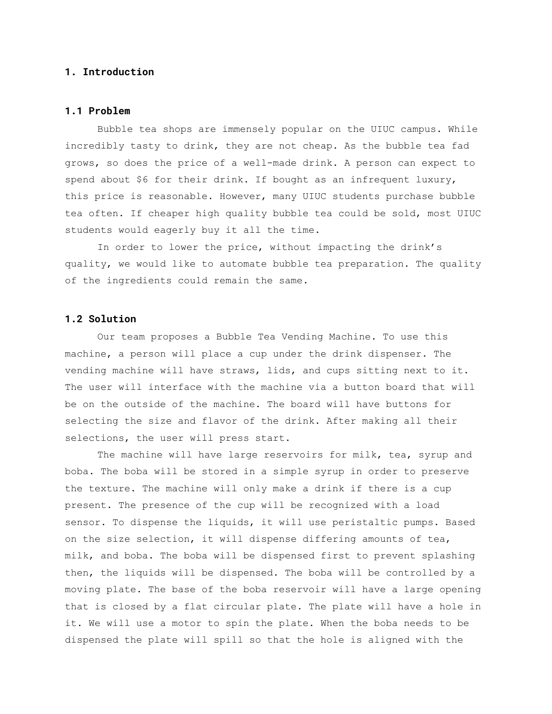# **1. Introduction**

# **1.1 Problem**

Bubble tea shops are immensely popular on the UIUC campus. While incredibly tasty to drink, they are not cheap. As the bubble tea fad grows, so does the price of a well-made drink. A person can expect to spend about \$6 for their drink. If bought as an infrequent luxury, this price is reasonable. However, many UIUC students purchase bubble tea often. If cheaper high quality bubble tea could be sold, most UIUC students would eagerly buy it all the time.

In order to lower the price, without impacting the drink's quality, we would like to automate bubble tea preparation. The quality of the ingredients could remain the same.

## **1.2 Solution**

Our team proposes a Bubble Tea Vending Machine. To use this machine, a person will place a cup under the drink dispenser. The vending machine will have straws, lids, and cups sitting next to it. The user will interface with the machine via a button board that will be on the outside of the machine. The board will have buttons for selecting the size and flavor of the drink. After making all their selections, the user will press start.

The machine will have large reservoirs for milk, tea, syrup and boba. The boba will be stored in a simple syrup in order to preserve the texture. The machine will only make a drink if there is a cup present. The presence of the cup will be recognized with a load sensor. To dispense the liquids, it will use peristaltic pumps. Based on the size selection, it will dispense differing amounts of tea, milk, and boba. The boba will be dispensed first to prevent splashing then, the liquids will be dispensed. The boba will be controlled by a moving plate. The base of the boba reservoir will have a large opening that is closed by a flat circular plate. The plate will have a hole in it. We will use a motor to spin the plate. When the boba needs to be dispensed the plate will spill so that the hole is aligned with the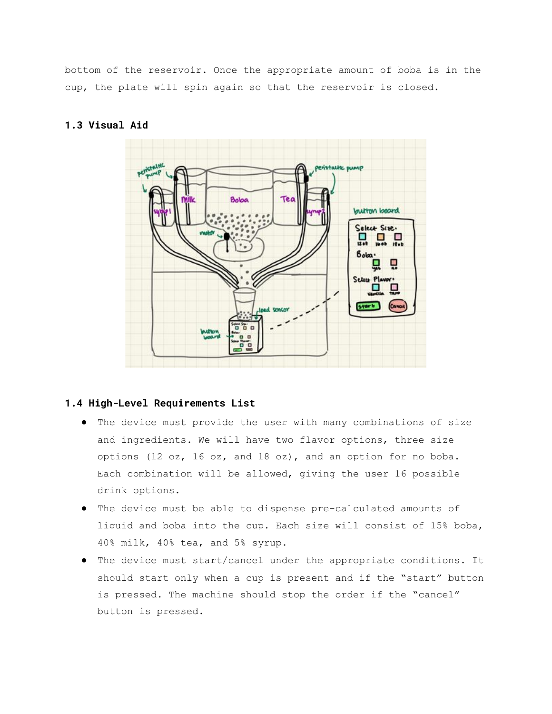bottom of the reservoir. Once the appropriate amount of boba is in the cup, the plate will spin again so that the reservoir is closed.

# **1.3 Visual Aid**



# **1.4 High-Level Requirements List**

- The device must provide the user with many combinations of size and ingredients. We will have two flavor options, three size options (12 oz, 16 oz, and 18 oz), and an option for no boba. Each combination will be allowed, giving the user 16 possible drink options.
- The device must be able to dispense pre-calculated amounts of liquid and boba into the cup. Each size will consist of 15% boba, 40% milk, 40% tea, and 5% syrup.
- The device must start/cancel under the appropriate conditions. It should start only when a cup is present and if the "start" button is pressed. The machine should stop the order if the "cancel" button is pressed.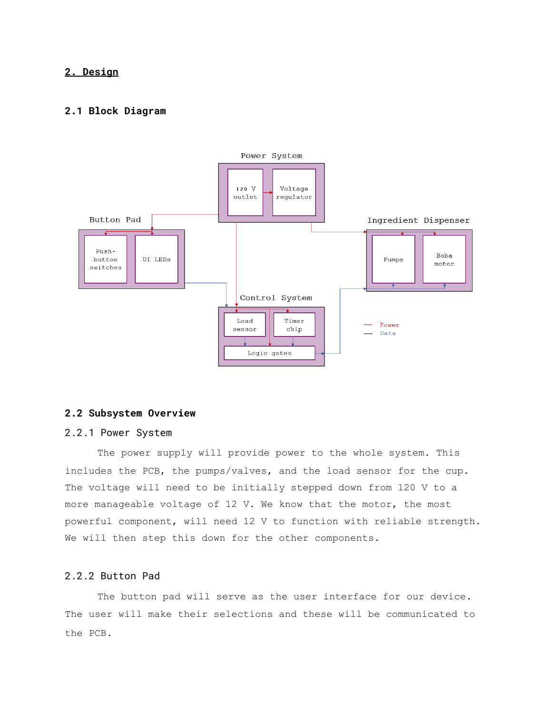# **2. Design**

# **2.1 Block Diagram**



# **2.2 Subsystem Overview**

#### 2.2.1 Power System

The power supply will provide power to the whole system. This includes the PCB, the pumps/valves, and the load sensor for the cup. The voltage will need to be initially stepped down from 120 V to a more manageable voltage of 12 V. We know that the motor, the most powerful component, will need 12 V to function with reliable strength. We will then step this down for the other components.

# 2.2.2 Button Pad

The button pad will serve as the user interface for our device. The user will make their selections and these will be communicated to the PCB.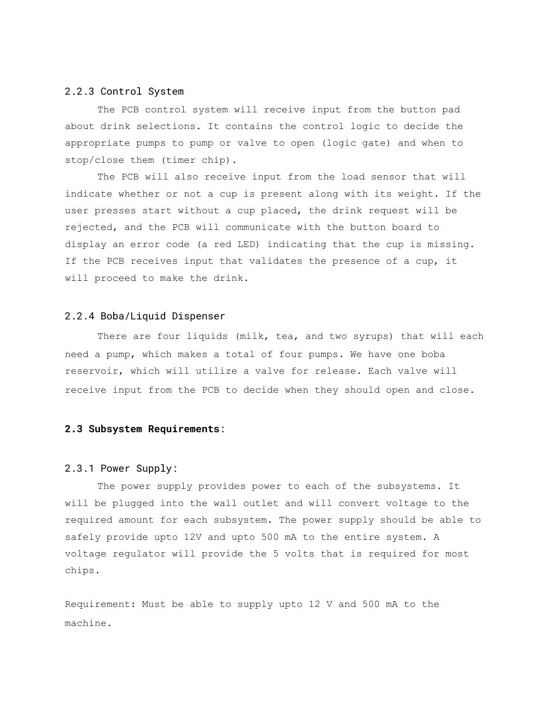#### 2.2.3 Control System

The PCB control system will receive input from the button pad about drink selections. It contains the control logic to decide the appropriate pumps to pump or valve to open (logic gate) and when to stop/close them (timer chip).

The PCB will also receive input from the load sensor that will indicate whether or not a cup is present along with its weight. If the user presses start without a cup placed, the drink request will be rejected, and the PCB will communicate with the button board to display an error code (a red LED) indicating that the cup is missing. If the PCB receives input that validates the presence of a cup, it will proceed to make the drink.

#### 2.2.4 Boba/Liquid Dispenser

There are four liquids (milk, tea, and two syrups) that will each need a pump, which makes a total of four pumps. We have one boba reservoir, which will utilize a valve for release. Each valve will receive input from the PCB to decide when they should open and close.

#### **2.3 Subsystem Requirements**:

#### 2.3.1 Power Supply:

The power supply provides power to each of the subsystems. It will be plugged into the wall outlet and will convert voltage to the required amount for each subsystem. The power supply should be able to safely provide upto 12V and upto 500 mA to the entire system. A voltage regulator will provide the 5 volts that is required for most chips.

Requirement: Must be able to supply upto 12 V and 500 mA to the machine.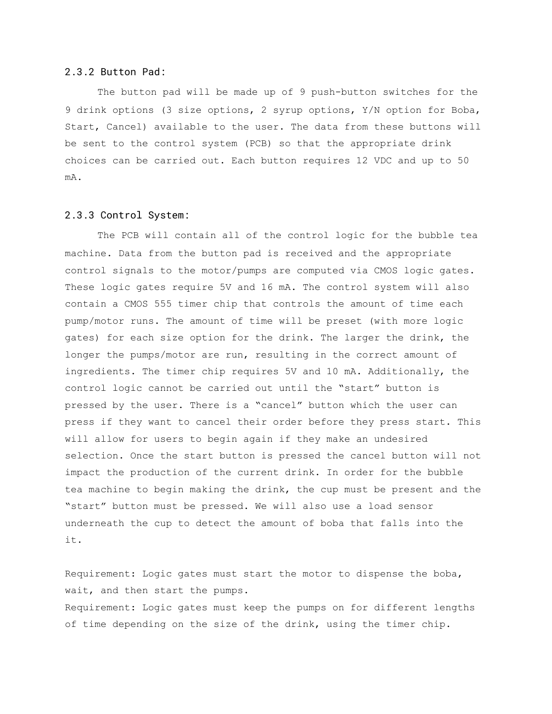#### 2.3.2 Button Pad:

The button pad will be made up of 9 push-button switches for the 9 drink options (3 size options, 2 syrup options, Y/N option for Boba, Start, Cancel) available to the user. The data from these buttons will be sent to the control system (PCB) so that the appropriate drink choices can be carried out. Each button requires 12 VDC and up to 50 mA.

#### 2.3.3 Control System:

The PCB will contain all of the control logic for the bubble tea machine. Data from the button pad is received and the appropriate control signals to the motor/pumps are computed via CMOS logic gates. These logic gates require 5V and 16 mA. The control system will also contain a CMOS 555 timer chip that controls the amount of time each pump/motor runs. The amount of time will be preset (with more logic gates) for each size option for the drink. The larger the drink, the longer the pumps/motor are run, resulting in the correct amount of ingredients. The timer chip requires 5V and 10 mA. Additionally, the control logic cannot be carried out until the "start" button is pressed by the user. There is a "cancel" button which the user can press if they want to cancel their order before they press start. This will allow for users to begin again if they make an undesired selection. Once the start button is pressed the cancel button will not impact the production of the current drink. In order for the bubble tea machine to begin making the drink, the cup must be present and the "start" button must be pressed. We will also use a load sensor underneath the cup to detect the amount of boba that falls into the it.

Requirement: Logic gates must start the motor to dispense the boba, wait, and then start the pumps. Requirement: Logic gates must keep the pumps on for different lengths of time depending on the size of the drink, using the timer chip.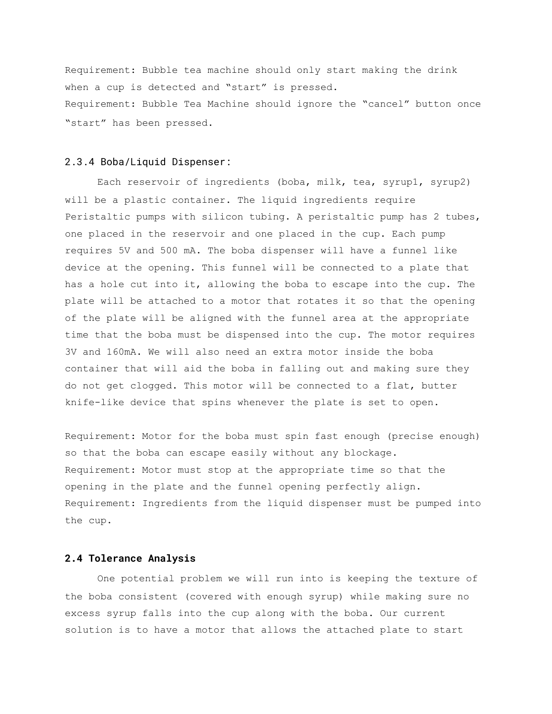Requirement: Bubble tea machine should only start making the drink when a cup is detected and "start" is pressed. Requirement: Bubble Tea Machine should ignore the "cancel" button once "start" has been pressed.

#### 2.3.4 Boba/Liquid Dispenser:

Each reservoir of ingredients (boba, milk, tea, syrup1, syrup2) will be a plastic container. The liquid ingredients require Peristaltic pumps with silicon tubing. A peristaltic pump has 2 tubes, one placed in the reservoir and one placed in the cup. Each pump requires 5V and 500 mA. The boba dispenser will have a funnel like device at the opening. This funnel will be connected to a plate that has a hole cut into it, allowing the boba to escape into the cup. The plate will be attached to a motor that rotates it so that the opening of the plate will be aligned with the funnel area at the appropriate time that the boba must be dispensed into the cup. The motor requires 3V and 160mA. We will also need an extra motor inside the boba container that will aid the boba in falling out and making sure they do not get clogged. This motor will be connected to a flat, butter knife-like device that spins whenever the plate is set to open.

Requirement: Motor for the boba must spin fast enough (precise enough) so that the boba can escape easily without any blockage. Requirement: Motor must stop at the appropriate time so that the opening in the plate and the funnel opening perfectly align. Requirement: Ingredients from the liquid dispenser must be pumped into the cup.

#### **2.4 Tolerance Analysis**

One potential problem we will run into is keeping the texture of the boba consistent (covered with enough syrup) while making sure no excess syrup falls into the cup along with the boba. Our current solution is to have a motor that allows the attached plate to start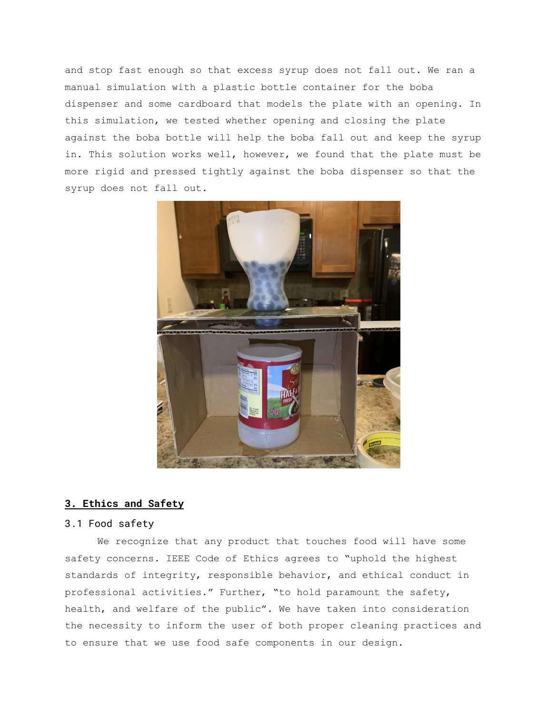and stop fast enough so that excess syrup does not fall out. We ran a manual simulation with a plastic bottle container for the boba dispenser and some cardboard that models the plate with an opening. In this simulation, we tested whether opening and closing the plate against the boba bottle will help the boba fall out and keep the syrup in. This solution works well, however, we found that the plate must be more rigid and pressed tightly against the boba dispenser so that the syrup does not fall out.



# **3. Ethics and Safety**

# 3.1 Food safety

We recognize that any product that touches food will have some safety concerns. IEEE Code of Ethics agrees to "uphold the highest standards of integrity, responsible behavior, and ethical conduct in professional activities." Further, "to hold paramount the safety, health, and welfare of the public". We have taken into consideration the necessity to inform the user of both proper cleaning practices and to ensure that we use food safe components in our design.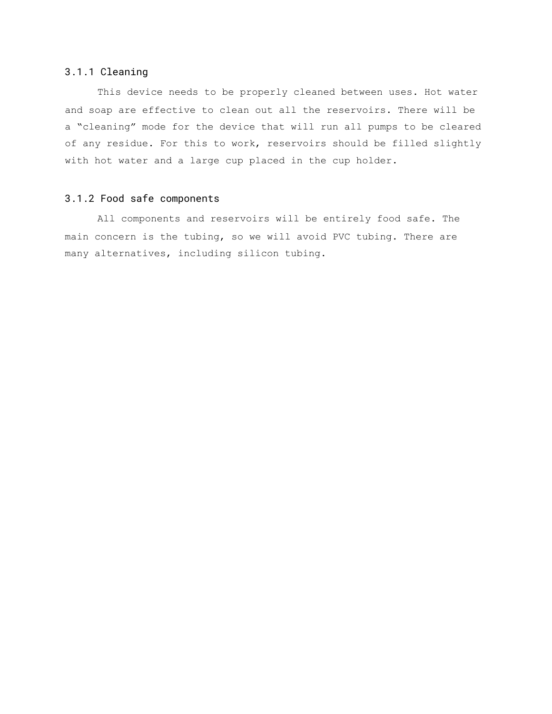# 3.1.1 Cleaning

This device needs to be properly cleaned between uses. Hot water and soap are effective to clean out all the reservoirs. There will be a "cleaning" mode for the device that will run all pumps to be cleared of any residue. For this to work, reservoirs should be filled slightly with hot water and a large cup placed in the cup holder.

# 3.1.2 Food safe components

All components and reservoirs will be entirely food safe. The main concern is the tubing, so we will avoid PVC tubing. There are many alternatives, including silicon tubing.